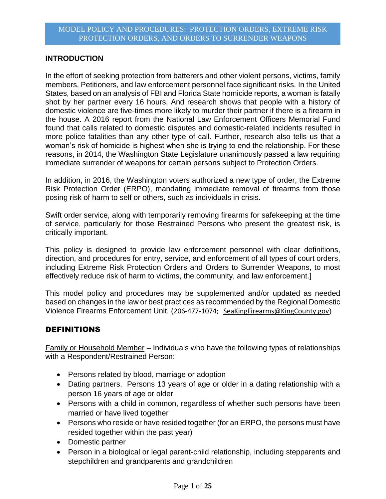### **INTRODUCTION**

In the effort of seeking protection from batterers and other violent persons, victims, family members, Petitioners, and law enforcement personnel face significant risks. In the United States, based on an analysis of FBI and Florida State homicide reports, a woman is fatally shot by her partner every 16 hours. And research shows that people with a history of domestic violence are five-times more likely to murder their partner if there is a firearm in the house. A 2016 report from the National Law Enforcement Officers Memorial Fund found that calls related to domestic disputes and domestic-related incidents resulted in more police fatalities than any other type of call. Further, research also tells us that a woman's risk of homicide is highest when she is trying to end the relationship. For these reasons, in 2014, the Washington State Legislature unanimously passed a law requiring immediate surrender of weapons for certain persons subject to Protection Orders.

In addition, in 2016, the Washington voters authorized a new type of order, the Extreme Risk Protection Order (ERPO), mandating immediate removal of firearms from those posing risk of harm to self or others, such as individuals in crisis.

Swift order service, along with temporarily removing firearms for safekeeping at the time of service, particularly for those Restrained Persons who present the greatest risk, is critically important.

This policy is designed to provide law enforcement personnel with clear definitions, direction, and procedures for entry, service, and enforcement of all types of court orders, including Extreme Risk Protection Orders and Orders to Surrender Weapons, to most effectively reduce risk of harm to victims, the community, and law enforcement.]

This model policy and procedures may be supplemented and/or updated as needed based on changes in the law or best practices as recommended by the Regional Domestic Violence Firearms Enforcement Unit. (206-477-1074; [SeaKingFirearms@KingCounty.gov](mailto:SeaKingFirearms@KingCounty.gov))

# DEFINITIONS

Family or Household Member – Individuals who have the following types of relationships with a Respondent/Restrained Person:

- Persons related by blood, marriage or adoption
- Dating partners. Persons 13 years of age or older in a dating relationship with a person 16 years of age or older
- Persons with a child in common, regardless of whether such persons have been married or have lived together
- Persons who reside or have resided together (for an ERPO, the persons must have resided together within the past year)
- Domestic partner
- Person in a biological or legal parent-child relationship, including stepparents and stepchildren and grandparents and grandchildren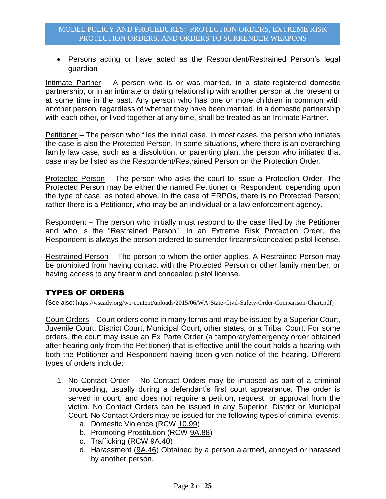Persons acting or have acted as the Respondent/Restrained Person's legal guardian

Intimate Partner – A person who is or was married, in a state-registered domestic partnership, or in an intimate or dating relationship with another person at the present or at some time in the past. Any person who has one or more children in common with another person, regardless of whether they have been married, in a domestic partnership with each other, or lived together at any time, shall be treated as an Intimate Partner.

Petitioner – The person who files the initial case. In most cases, the person who initiates the case is also the Protected Person. In some situations, where there is an overarching family law case, such as a dissolution, or parenting plan, the person who initiated that case may be listed as the Respondent/Restrained Person on the Protection Order.

Protected Person – The person who asks the court to issue a Protection Order. The Protected Person may be either the named Petitioner or Respondent, depending upon the type of case, as noted above. In the case of ERPOs, there is no Protected Person; rather there is a Petitioner, who may be an individual or a law enforcement agency.

Respondent – The person who initially must respond to the case filed by the Petitioner and who is the "Restrained Person". In an Extreme Risk Protection Order, the Respondent is always the person ordered to surrender firearms/concealed pistol license.

Restrained Person – The person to whom the order applies. A Restrained Person may be prohibited from having contact with the Protected Person or other family member, or having access to any firearm and concealed pistol license.

# TYPES OF ORDERS

(See also: https://wscadv.org/wp-content/uploads/2015/06/WA-State-Civil-Safety-Order-Comparison-Chart.pdf)

Court Orders – Court orders come in many forms and may be issued by a Superior Court, Juvenile Court, District Court, Municipal Court, other states, or a Tribal Court. For some orders, the court may issue an Ex Parte Order (a temporary/emergency order obtained after hearing only from the Petitioner) that is effective until the court holds a hearing with both the Petitioner and Respondent having been given notice of the hearing. Different types of orders include:

- 1. No Contact Order No Contact Orders may be imposed as part of a criminal proceeding, usually during a defendant's first court appearance. The order is served in court, and does not require a petition, request, or approval from the victim. No Contact Orders can be issued in any Superior, District or Municipal Court. No Contact Orders may be issued for the following types of criminal events:
	- a. Domestic Violence (RCW 10.99)
	- b. Promoting Prostitution (RCW 9A.88)
	- c. Trafficking (RCW 9A.40)
	- d. Harassment (9A.46) Obtained by a person alarmed, annoyed or harassed by another person.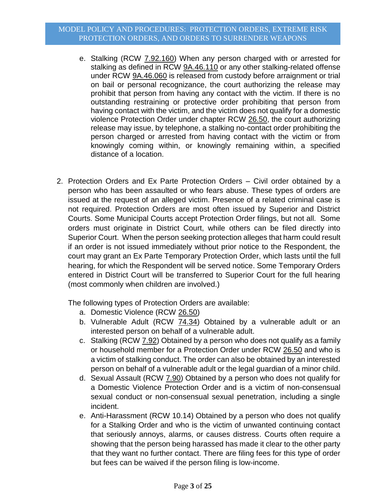- e. Stalking (RCW 7.92.160) When any person charged with or arrested for stalking as defined in RCW [9A.46.110](http://app.leg.wa.gov/RCW/default.aspx?cite=9A.46.110) or any other stalking-related offense under RCW [9A.46.060](http://app.leg.wa.gov/RCW/default.aspx?cite=9A.46.060) is released from custody before arraignment or trial on bail or personal recognizance, the court authorizing the release may prohibit that person from having any contact with the victim. If there is no outstanding restraining or protective order prohibiting that person from having contact with the victim, and the victim does not qualify for a domestic violence Protection Order under chapter RCW [26.50,](http://app.leg.wa.gov/RCW/default.aspx?cite=26.50) the court authorizing release may issue, by telephone, a stalking no-contact order prohibiting the person charged or arrested from having contact with the victim or from knowingly coming within, or knowingly remaining within, a specified distance of a location.
- 2. Protection Orders and Ex Parte Protection Orders Civil order obtained by a person who has been assaulted or who fears abuse. These types of orders are issued at the request of an alleged victim. Presence of a related criminal case is not required. Protection Orders are most often issued by Superior and District Courts. Some Municipal Courts accept Protection Order filings, but not all. Some orders must originate in District Court, while others can be filed directly into Superior Court. When the person seeking protection alleges that harm could result if an order is not issued immediately without prior notice to the Respondent, the court may grant an Ex Parte Temporary Protection Order, which lasts until the full hearing, for which the Respondent will be served notice. Some Temporary Orders entered in District Court will be transferred to Superior Court for the full hearing (most commonly when children are involved.)

The following types of Protection Orders are available:

- a. Domestic Violence (RCW 26.50)
- b. Vulnerable Adult (RCW 74.34) Obtained by a vulnerable adult or an interested person on behalf of a vulnerable adult.
- c. Stalking (RCW 7.92) Obtained by a person who does not qualify as a family or household member for a Protection Order under RCW 26.50 and who is a victim of stalking conduct. The order can also be obtained by an interested person on behalf of a vulnerable adult or the legal guardian of a minor child.
- d. Sexual Assault (RCW 7.90) Obtained by a person who does not qualify for a Domestic Violence Protection Order and is a victim of non-consensual sexual conduct or non-consensual sexual penetration, including a single incident.
- e. Anti-Harassment (RCW 10.14) Obtained by a person who does not qualify for a Stalking Order and who is the victim of unwanted continuing contact that seriously annoys, alarms, or causes distress. Courts often require a showing that the person being harassed has made it clear to the other party that they want no further contact. There are filing fees for this type of order but fees can be waived if the person filing is low-income.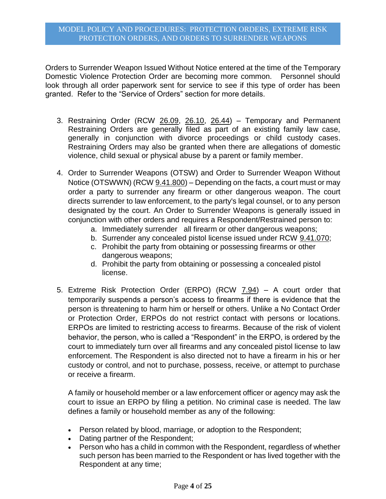Orders to Surrender Weapon Issued Without Notice entered at the time of the Temporary Domestic Violence Protection Order are becoming more common. Personnel should look through all order paperwork sent for service to see if this type of order has been granted. Refer to the "Service of Orders" section for more details.

- 3. Restraining Order (RCW 26.09, 26.10, 26.44) Temporary and Permanent Restraining Orders are generally filed as part of an existing family law case, generally in conjunction with divorce proceedings or child custody cases. Restraining Orders may also be granted when there are allegations of domestic violence, child sexual or physical abuse by a parent or family member.
- 4. Order to Surrender Weapons (OTSW) and Order to Surrender Weapon Without Notice (OTSWWN) (RCW 9.41.800) – Depending on the facts, a court must or may order a party to surrender any firearm or other dangerous weapon. The court directs surrender to law enforcement, to the party's legal counsel, or to any person designated by the court. An Order to Surrender Weapons is generally issued in conjunction with other orders and requires a Respondent/Restrained person to:
	- a. Immediately surrender all firearm or other dangerous weapons;
	- b. Surrender any concealed pistol license issued under RCW [9.41.070;](http://app.leg.wa.gov/RCW/default.aspx?cite=9.41.070)
	- c. Prohibit the party from obtaining or possessing firearms or other dangerous weapons;
	- d. Prohibit the party from obtaining or possessing a concealed pistol license.
- 5. Extreme Risk Protection Order (ERPO) (RCW 7.94) A court order that temporarily suspends a person's access to firearms if there is evidence that the person is threatening to harm him or herself or others. Unlike a No Contact Order or Protection Order, ERPOs do not restrict contact with persons or locations. ERPOs are limited to restricting access to firearms. Because of the risk of violent behavior, the person, who is called a "Respondent" in the ERPO, is ordered by the court to immediately turn over all firearms and any concealed pistol license to law enforcement. The Respondent is also directed not to have a firearm in his or her custody or control, and not to purchase, possess, receive, or attempt to purchase or receive a firearm.

A family or household member or a law enforcement officer or agency may ask the court to issue an ERPO by filing a petition. No criminal case is needed. The law defines a family or household member as any of the following:

- Person related by blood, marriage, or adoption to the Respondent;
- Dating partner of the Respondent;
- Person who has a child in common with the Respondent, regardless of whether such person has been married to the Respondent or has lived together with the Respondent at any time;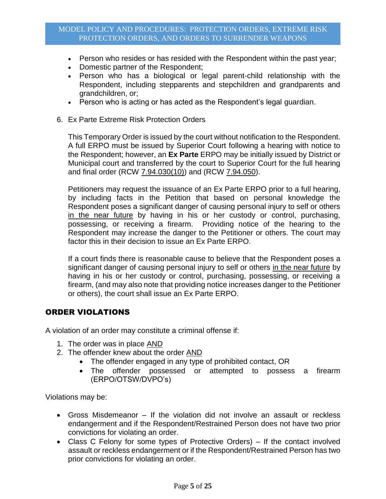- Person who resides or has resided with the Respondent within the past year;
- Domestic partner of the Respondent;
- Person who has a biological or legal parent-child relationship with the Respondent, including stepparents and stepchildren and grandparents and grandchildren, or;
- Person who is acting or has acted as the Respondent's legal guardian.
- 6. Ex Parte Extreme Risk Protection Orders

This Temporary Order is issued by the court without notification to the Respondent. A full ERPO must be issued by Superior Court following a hearing with notice to the Respondent; however, an **Ex Parte** ERPO may be initially issued by District or Municipal court and transferred by the court to Superior Court for the full hearing and final order (RCW 7.94.030(10)) and (RCW 7.94.050).

Petitioners may request the issuance of an Ex Parte ERPO prior to a full hearing, by including facts in the Petition that based on personal knowledge the Respondent poses a significant danger of causing personal injury to self or others in the near future by having in his or her custody or control, purchasing, possessing, or receiving a firearm. Providing notice of the hearing to the Respondent may increase the danger to the Petitioner or others. The court may factor this in their decision to issue an Ex Parte ERPO.

If a court finds there is reasonable cause to believe that the Respondent poses a significant danger of causing personal injury to self or others in the near future by having in his or her custody or control, purchasing, possessing, or receiving a firearm, (and may also note that providing notice increases danger to the Petitioner or others), the court shall issue an Ex Parte ERPO.

#### ORDER VIOLATIONS

A violation of an order may constitute a criminal offense if:

- 1. The order was in place AND
- 2. The offender knew about the order AND
	- The offender engaged in any type of prohibited contact, OR
	- The offender possessed or attempted to possess a firearm (ERPO/OTSW/DVPO's)

Violations may be:

- Gross Misdemeanor If the violation did not involve an assault or reckless endangerment and if the Respondent/Restrained Person does not have two prior convictions for violating an order.
- Class C Felony for some types of Protective Orders) If the contact involved assault or reckless endangerment or if the Respondent/Restrained Person has two prior convictions for violating an order.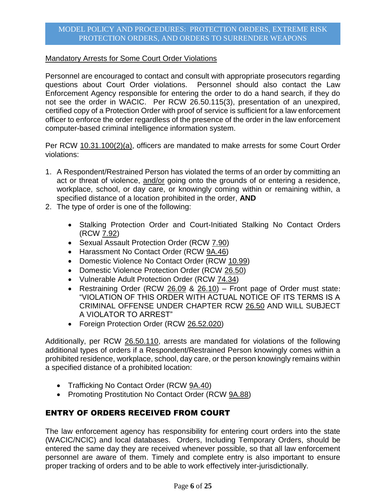#### Mandatory Arrests for Some Court Order Violations

Personnel are encouraged to contact and consult with appropriate prosecutors regarding questions about Court Order violations. Personnel should also contact the Law Enforcement Agency responsible for entering the order to do a hand search, if they do not see the order in WACIC. Per RCW 26.50.115(3), presentation of an unexpired, certified copy of a Protection Order with proof of service is sufficient for a law enforcement officer to enforce the order regardless of the presence of the order in the law enforcement computer-based criminal intelligence information system.

Per RCW 10.31.100(2)(a), officers are mandated to make arrests for some Court Order violations:

- 1. A Respondent/Restrained Person has violated the terms of an order by committing an act or threat of violence, and/or going onto the grounds of or entering a residence, workplace, school, or day care, or knowingly coming within or remaining within, a specified distance of a location prohibited in the order, **AND**
- 2. The type of order is one of the following:
	- Stalking Protection Order and Court-Initiated Stalking No Contact Orders (RCW 7.92)
	- Sexual Assault Protection Order (RCW 7.90)
	- Harassment No Contact Order (RCW 9A.46)
	- Domestic Violence No Contact Order (RCW 10.99)
	- Domestic Violence Protection Order (RCW 26.50)
	- Vulnerable Adult Protection Order (RCW 74.34)
	- Restraining Order (RCW 26.09 & 26.10) Front page of Order must state: "VIOLATION OF THIS ORDER WITH ACTUAL NOTICE OF ITS TERMS IS A CRIMINAL OFFENSE UNDER CHAPTER RCW [26.50](http://app.leg.wa.gov/RCW/default.aspx?cite=26.50) AND WILL SUBJECT A VIOLATOR TO ARREST"
	- Foreign Protection Order (RCW 26.52.020)

Additionally, per RCW 26.50.110, arrests are mandated for violations of the following additional types of orders if a Respondent/Restrained Person knowingly comes within a prohibited residence, workplace, school, day care, or the person knowingly remains within a specified distance of a prohibited location:

- Trafficking No Contact Order (RCW 9A.40)
- Promoting Prostitution No Contact Order (RCW 9A.88)

# ENTRY OF ORDERS RECEIVED FROM COURT

The law enforcement agency has responsibility for entering court orders into the state (WACIC/NCIC) and local databases. Orders, Including Temporary Orders, should be entered the same day they are received whenever possible, so that all law enforcement personnel are aware of them. Timely and complete entry is also important to ensure proper tracking of orders and to be able to work effectively inter-jurisdictionally.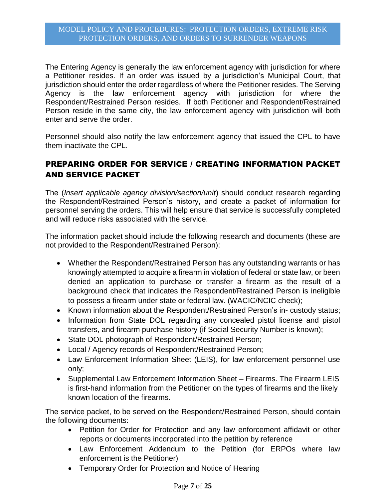The Entering Agency is generally the law enforcement agency with jurisdiction for where a Petitioner resides. If an order was issued by a jurisdiction's Municipal Court, that jurisdiction should enter the order regardless of where the Petitioner resides. The Serving Agency is the law enforcement agency with jurisdiction for where the Respondent/Restrained Person resides. If both Petitioner and Respondent/Restrained Person reside in the same city, the law enforcement agency with jurisdiction will both enter and serve the order.

Personnel should also notify the law enforcement agency that issued the CPL to have them inactivate the CPL.

# PREPARING ORDER FOR SERVICE / CREATING INFORMATION PACKET AND SERVICE PACKET

The (*Insert applicable agency division/section/unit*) should conduct research regarding the Respondent/Restrained Person's history, and create a packet of information for personnel serving the orders. This will help ensure that service is successfully completed and will reduce risks associated with the service.

The information packet should include the following research and documents (these are not provided to the Respondent/Restrained Person):

- Whether the Respondent/Restrained Person has any outstanding warrants or has knowingly attempted to acquire a firearm in violation of federal or state law, or been denied an application to purchase or transfer a firearm as the result of a background check that indicates the Respondent/Restrained Person is ineligible to possess a firearm under state or federal law. (WACIC/NCIC check);
- Known information about the Respondent/Restrained Person's in-custody status;
- Information from State DOL regarding any concealed pistol license and pistol transfers, and firearm purchase history (if Social Security Number is known);
- State DOL photograph of Respondent/Restrained Person;
- Local / Agency records of Respondent/Restrained Person;
- Law Enforcement Information Sheet (LEIS), for law enforcement personnel use only;
- Supplemental Law Enforcement Information Sheet Firearms. The Firearm LEIS is first-hand information from the Petitioner on the types of firearms and the likely known location of the firearms.

The service packet, to be served on the Respondent/Restrained Person, should contain the following documents:

- Petition for Order for Protection and any law enforcement affidavit or other reports or documents incorporated into the petition by reference
- Law Enforcement Addendum to the Petition (for ERPOs where law enforcement is the Petitioner)
- Temporary Order for Protection and Notice of Hearing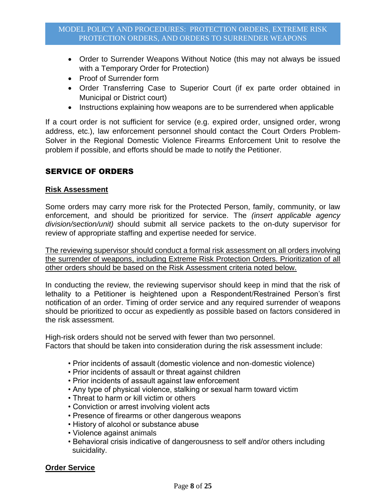- Order to Surrender Weapons Without Notice (this may not always be issued with a Temporary Order for Protection)
- Proof of Surrender form
- Order Transferring Case to Superior Court (if ex parte order obtained in Municipal or District court)
- Instructions explaining how weapons are to be surrendered when applicable

If a court order is not sufficient for service (e.g. expired order, unsigned order, wrong address, etc.), law enforcement personnel should contact the Court Orders Problem-Solver in the Regional Domestic Violence Firearms Enforcement Unit to resolve the problem if possible, and efforts should be made to notify the Petitioner.

# SERVICE OF ORDERS

#### **Risk Assessment**

Some orders may carry more risk for the Protected Person, family, community, or law enforcement, and should be prioritized for service. The *(insert applicable agency division/section/unit)* should submit all service packets to the on-duty supervisor for review of appropriate staffing and expertise needed for service.

The reviewing supervisor should conduct a formal risk assessment on all orders involving the surrender of weapons, including Extreme Risk Protection Orders. Prioritization of all other orders should be based on the Risk Assessment criteria noted below.

In conducting the review, the reviewing supervisor should keep in mind that the risk of lethality to a Petitioner is heightened upon a Respondent/Restrained Person's first notification of an order. Timing of order service and any required surrender of weapons should be prioritized to occur as expediently as possible based on factors considered in the risk assessment.

High-risk orders should not be served with fewer than two personnel. Factors that should be taken into consideration during the risk assessment include:

- Prior incidents of assault (domestic violence and non-domestic violence)
- Prior incidents of assault or threat against children
- Prior incidents of assault against law enforcement
- Any type of physical violence, stalking or sexual harm toward victim
- Threat to harm or kill victim or others
- Conviction or arrest involving violent acts
- Presence of firearms or other dangerous weapons
- History of alcohol or substance abuse
- Violence against animals
- Behavioral crisis indicative of dangerousness to self and/or others including suicidality.

#### **Order Service**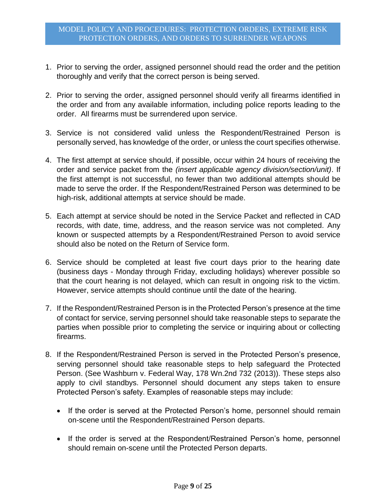- 1. Prior to serving the order, assigned personnel should read the order and the petition thoroughly and verify that the correct person is being served.
- 2. Prior to serving the order, assigned personnel should verify all firearms identified in the order and from any available information, including police reports leading to the order. All firearms must be surrendered upon service.
- 3. Service is not considered valid unless the Respondent/Restrained Person is personally served, has knowledge of the order, or unless the court specifies otherwise.
- 4. The first attempt at service should, if possible, occur within 24 hours of receiving the order and service packet from the *(insert applicable agency division/section/unit)*. If the first attempt is not successful, no fewer than two additional attempts should be made to serve the order. If the Respondent/Restrained Person was determined to be high-risk, additional attempts at service should be made.
- 5. Each attempt at service should be noted in the Service Packet and reflected in CAD records, with date, time, address, and the reason service was not completed. Any known or suspected attempts by a Respondent/Restrained Person to avoid service should also be noted on the Return of Service form.
- 6. Service should be completed at least five court days prior to the hearing date (business days - Monday through Friday, excluding holidays) wherever possible so that the court hearing is not delayed, which can result in ongoing risk to the victim. However, service attempts should continue until the date of the hearing.
- 7. If the Respondent/Restrained Person is in the Protected Person's presence at the time of contact for service, serving personnel should take reasonable steps to separate the parties when possible prior to completing the service or inquiring about or collecting firearms.
- 8. If the Respondent/Restrained Person is served in the Protected Person's presence, serving personnel should take reasonable steps to help safeguard the Protected Person. (See Washburn v. Federal Way, 178 Wn.2nd 732 (2013)). These steps also apply to civil standbys. Personnel should document any steps taken to ensure Protected Person's safety. Examples of reasonable steps may include:
	- If the order is served at the Protected Person's home, personnel should remain on-scene until the Respondent/Restrained Person departs.
	- If the order is served at the Respondent/Restrained Person's home, personnel should remain on-scene until the Protected Person departs.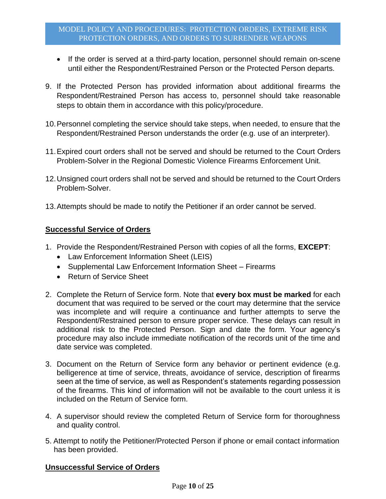- If the order is served at a third-party location, personnel should remain on-scene until either the Respondent/Restrained Person or the Protected Person departs.
- 9. If the Protected Person has provided information about additional firearms the Respondent/Restrained Person has access to, personnel should take reasonable steps to obtain them in accordance with this policy/procedure.
- 10.Personnel completing the service should take steps, when needed, to ensure that the Respondent/Restrained Person understands the order (e.g. use of an interpreter).
- 11.Expired court orders shall not be served and should be returned to the Court Orders Problem-Solver in the Regional Domestic Violence Firearms Enforcement Unit.
- 12.Unsigned court orders shall not be served and should be returned to the Court Orders Problem-Solver.
- 13.Attempts should be made to notify the Petitioner if an order cannot be served.

## **Successful Service of Orders**

- 1. Provide the Respondent/Restrained Person with copies of all the forms, **EXCEPT**:
	- Law Enforcement Information Sheet (LEIS)
	- Supplemental Law Enforcement Information Sheet Firearms
	- Return of Service Sheet
- 2. Complete the Return of Service form. Note that **every box must be marked** for each document that was required to be served or the court may determine that the service was incomplete and will require a continuance and further attempts to serve the Respondent/Restrained person to ensure proper service. These delays can result in additional risk to the Protected Person. Sign and date the form. Your agency's procedure may also include immediate notification of the records unit of the time and date service was completed.
- 3. Document on the Return of Service form any behavior or pertinent evidence (e.g. belligerence at time of service, threats, avoidance of service, description of firearms seen at the time of service, as well as Respondent's statements regarding possession of the firearms. This kind of information will not be available to the court unless it is included on the Return of Service form.
- 4. A supervisor should review the completed Return of Service form for thoroughness and quality control.
- 5. Attempt to notify the Petitioner/Protected Person if phone or email contact information has been provided.

# **Unsuccessful Service of Orders**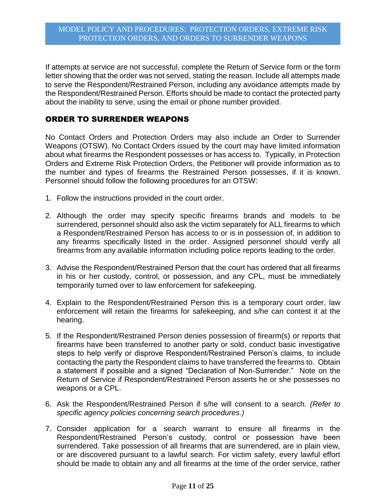If attempts at service are not successful, complete the Return of Service form or the form letter showing that the order was not served, stating the reason. Include all attempts made to serve the Respondent/Restrained Person, including any avoidance attempts made by the Respondent/Restrained Person. Efforts should be made to contact the protected party about the inability to serve, using the email or phone number provided.

# ORDER TO SURRENDER WEAPONS

No Contact Orders and Protection Orders may also include an Order to Surrender Weapons (OTSW). No Contact Orders issued by the court may have limited information about what firearms the Respondent possesses or has access to. Typically, in Protection Orders and Extreme Risk Protection Orders, the Petitioner will provide information as to the number and types of firearms the Restrained Person possesses, if it is known. Personnel should follow the following procedures for an OTSW:

- 1. Follow the instructions provided in the court order.
- 2. Although the order may specify specific firearms brands and models to be surrendered, personnel should also ask the victim separately for ALL firearms to which a Respondent/Restrained Person has access to or is in possession of, in addition to any firearms specifically listed in the order. Assigned personnel should verify all firearms from any available information including police reports leading to the order.
- 3. Advise the Respondent/Restrained Person that the court has ordered that all firearms in his or her custody, control, or possession, and any CPL, must be immediately temporarily turned over to law enforcement for safekeeping.
- 4. Explain to the Respondent/Restrained Person this is a temporary court order, law enforcement will retain the firearms for safekeeping, and s/he can contest it at the hearing.
- 5. If the Respondent/Restrained Person denies possession of firearm(s) or reports that firearms have been transferred to another party or sold, conduct basic investigative steps to help verify or disprove Respondent/Restrained Person's claims, to include contacting the party the Respondent claims to have transferred the firearms to. Obtain a statement if possible and a signed "Declaration of Non-Surrender." Note on the Return of Service if Respondent/Restrained Person asserts he or she possesses no weapons or a CPL.
- 6. Ask the Respondent/Restrained Person if s/he will consent to a search. *(Refer to specific agency policies concerning search procedures.)*
- 7. Consider application for a search warrant to ensure all firearms in the Respondent/Restrained Person's custody, control or possession have been surrendered. Take possession of all firearms that are surrendered, are in plain view, or are discovered pursuant to a lawful search. For victim safety, every lawful effort should be made to obtain any and all firearms at the time of the order service, rather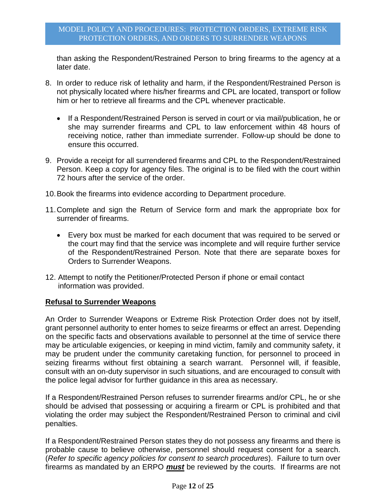than asking the Respondent/Restrained Person to bring firearms to the agency at a later date.

- 8. In order to reduce risk of lethality and harm, if the Respondent/Restrained Person is not physically located where his/her firearms and CPL are located, transport or follow him or her to retrieve all firearms and the CPL whenever practicable.
	- If a Respondent/Restrained Person is served in court or via mail/publication, he or she may surrender firearms and CPL to law enforcement within 48 hours of receiving notice, rather than immediate surrender. Follow-up should be done to ensure this occurred.
- 9. Provide a receipt for all surrendered firearms and CPL to the Respondent/Restrained Person. Keep a copy for agency files. The original is to be filed with the court within 72 hours after the service of the order.
- 10.Book the firearms into evidence according to Department procedure.
- 11.Complete and sign the Return of Service form and mark the appropriate box for surrender of firearms.
	- Every box must be marked for each document that was required to be served or the court may find that the service was incomplete and will require further service of the Respondent/Restrained Person. Note that there are separate boxes for Orders to Surrender Weapons.
- 12. Attempt to notify the Petitioner/Protected Person if phone or email contact information was provided.

#### **Refusal to Surrender Weapons**

An Order to Surrender Weapons or Extreme Risk Protection Order does not by itself, grant personnel authority to enter homes to seize firearms or effect an arrest. Depending on the specific facts and observations available to personnel at the time of service there may be articulable exigencies, or keeping in mind victim, family and community safety, it may be prudent under the community caretaking function, for personnel to proceed in seizing firearms without first obtaining a search warrant. Personnel will, if feasible, consult with an on-duty supervisor in such situations, and are encouraged to consult with the police legal advisor for further guidance in this area as necessary.

If a Respondent/Restrained Person refuses to surrender firearms and/or CPL, he or she should be advised that possessing or acquiring a firearm or CPL is prohibited and that violating the order may subject the Respondent/Restrained Person to criminal and civil penalties.

If a Respondent/Restrained Person states they do not possess any firearms and there is probable cause to believe otherwise, personnel should request consent for a search. (*Refer to specific agency policies for consent to search procedures*). Failure to turn over firearms as mandated by an ERPO *must* be reviewed by the courts. If firearms are not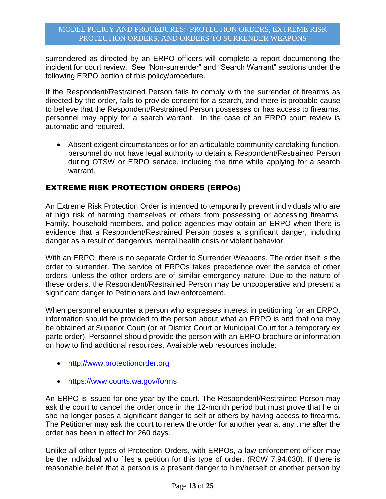surrendered as directed by an ERPO officers will complete a report documenting the incident for court review. See "Non-surrender" and "Search Warrant" sections under the following ERPO portion of this policy/procedure.

If the Respondent/Restrained Person fails to comply with the surrender of firearms as directed by the order, fails to provide consent for a search, and there is probable cause to believe that the Respondent/Restrained Person possesses or has access to firearms, personnel may apply for a search warrant. In the case of an ERPO court review is automatic and required.

 Absent exigent circumstances or for an articulable community caretaking function, personnel do not have legal authority to detain a Respondent/Restrained Person during OTSW or ERPO service, including the time while applying for a search warrant.

# EXTREME RISK PROTECTION ORDERS (ERPOs)

An Extreme Risk Protection Order is intended to temporarily prevent individuals who are at high risk of harming themselves or others from possessing or accessing firearms. Family, household members, and police agencies may obtain an ERPO when there is evidence that a Respondent/Restrained Person poses a significant danger, including danger as a result of dangerous mental health crisis or violent behavior.

With an ERPO, there is no separate Order to Surrender Weapons. The order itself is the order to surrender. The service of ERPOs takes precedence over the service of other orders, unless the other orders are of similar emergency nature. Due to the nature of these orders, the Respondent/Restrained Person may be uncooperative and present a significant danger to Petitioners and law enforcement.

When personnel encounter a person who expresses interest in petitioning for an ERPO, information should be provided to the person about what an ERPO is and that one may be obtained at Superior Court (or at District Court or Municipal Court for a temporary ex parte order). Personnel should provide the person with an ERPO brochure or information on how to find additional resources. Available web resources include:

- [http://www.protectionorder.org](http://www.protectionorder.org/)
- <https://www.courts.wa.gov/forms>

An ERPO is issued for one year by the court. The Respondent/Restrained Person may ask the court to cancel the order once in the 12-month period but must prove that he or she no longer poses a significant danger to self or others by having access to firearms. The Petitioner may ask the court to renew the order for another year at any time after the order has been in effect for 260 days.

Unlike all other types of Protection Orders, with ERPOs, a law enforcement officer may be the individual who files a petition for this type of order. (RCW 7.94.030). If there is reasonable belief that a person is a present danger to him/herself or another person by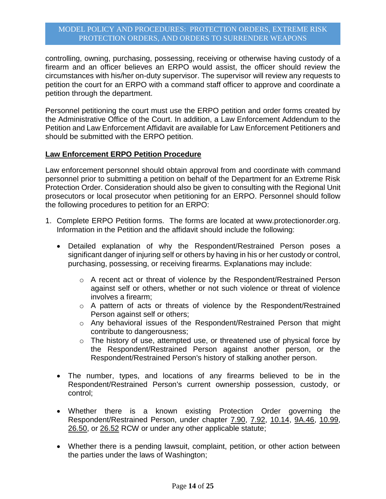controlling, owning, purchasing, possessing, receiving or otherwise having custody of a firearm and an officer believes an ERPO would assist, the officer should review the circumstances with his/her on-duty supervisor. The supervisor will review any requests to petition the court for an ERPO with a command staff officer to approve and coordinate a petition through the department.

Personnel petitioning the court must use the ERPO petition and order forms created by the Administrative Office of the Court. In addition, a Law Enforcement Addendum to the Petition and Law Enforcement Affidavit are available for Law Enforcement Petitioners and should be submitted with the ERPO petition.

#### **Law Enforcement ERPO Petition Procedure**

Law enforcement personnel should obtain approval from and coordinate with command personnel prior to submitting a petition on behalf of the Department for an Extreme Risk Protection Order. Consideration should also be given to consulting with the Regional Unit prosecutors or local prosecutor when petitioning for an ERPO. Personnel should follow the following procedures to petition for an ERPO:

- 1. Complete ERPO Petition forms. The forms are located at www.protectionorder.org. Information in the Petition and the affidavit should include the following:
	- Detailed explanation of why the Respondent/Restrained Person poses a significant danger of injuring self or others by having in his or her custody or control, purchasing, possessing, or receiving firearms. Explanations may include:
		- $\circ$  A recent act or threat of violence by the Respondent/Restrained Person against self or others, whether or not such violence or threat of violence involves a firearm;
		- o A pattern of acts or threats of violence by the Respondent/Restrained Person against self or others;
		- o Any behavioral issues of the Respondent/Restrained Person that might contribute to dangerousness;
		- o The history of use, attempted use, or threatened use of physical force by the Respondent/Restrained Person against another person, or the Respondent/Restrained Person's history of stalking another person.
	- The number, types, and locations of any firearms believed to be in the Respondent/Restrained Person's current ownership possession, custody, or control;
	- Whether there is a known existing Protection Order governing the Respondent/Restrained Person, under chapter 7.90, 7.92, 10.14, 9A.46, 10.99, 26.50, or 26.52 RCW or under any other applicable statute;
	- Whether there is a pending lawsuit, complaint, petition, or other action between the parties under the laws of Washington;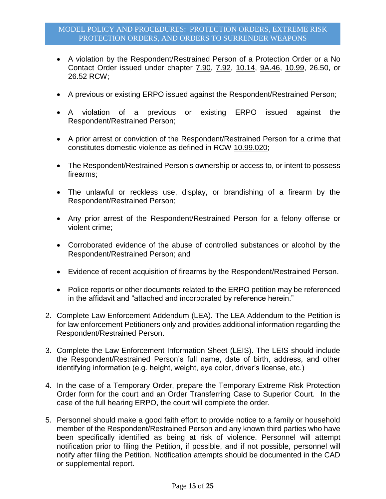- A violation by the Respondent/Restrained Person of a Protection Order or a No Contact Order issued under chapter 7.90, 7.92, 10.14, 9A.46, 10.99, 26.50, or 26.52 RCW;
- A previous or existing ERPO issued against the Respondent/Restrained Person;
- A violation of a previous or existing ERPO issued against the Respondent/Restrained Person;
- A prior arrest or conviction of the Respondent/Restrained Person for a crime that constitutes domestic violence as defined in RCW 10.99.020;
- The Respondent/Restrained Person's ownership or access to, or intent to possess firearms;
- The unlawful or reckless use, display, or brandishing of a firearm by the Respondent/Restrained Person;
- Any prior arrest of the Respondent/Restrained Person for a felony offense or violent crime;
- Corroborated evidence of the abuse of controlled substances or alcohol by the Respondent/Restrained Person; and
- Evidence of recent acquisition of firearms by the Respondent/Restrained Person.
- Police reports or other documents related to the ERPO petition may be referenced in the affidavit and "attached and incorporated by reference herein."
- 2. Complete Law Enforcement Addendum (LEA). The LEA Addendum to the Petition is for law enforcement Petitioners only and provides additional information regarding the Respondent/Restrained Person.
- 3. Complete the Law Enforcement Information Sheet (LEIS). The LEIS should include the Respondent/Restrained Person's full name, date of birth, address, and other identifying information (e.g. height, weight, eye color, driver's license, etc.)
- 4. In the case of a Temporary Order, prepare the Temporary Extreme Risk Protection Order form for the court and an Order Transferring Case to Superior Court. In the case of the full hearing ERPO, the court will complete the order.
- 5. Personnel should make a good faith effort to provide notice to a family or household member of the Respondent/Restrained Person and any known third parties who have been specifically identified as being at risk of violence. Personnel will attempt notification prior to filing the Petition, if possible, and if not possible, personnel will notify after filing the Petition. Notification attempts should be documented in the CAD or supplemental report.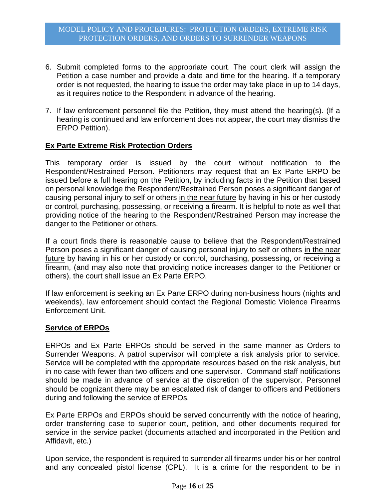- 6. Submit completed forms to the appropriate court. The court clerk will assign the Petition a case number and provide a date and time for the hearing. If a temporary order is not requested, the hearing to issue the order may take place in up to 14 days, as it requires notice to the Respondent in advance of the hearing.
- 7. If law enforcement personnel file the Petition, they must attend the hearing(s). (If a hearing is continued and law enforcement does not appear, the court may dismiss the ERPO Petition).

## **Ex Parte Extreme Risk Protection Orders**

This temporary order is issued by the court without notification to the Respondent/Restrained Person. Petitioners may request that an Ex Parte ERPO be issued before a full hearing on the Petition, by including facts in the Petition that based on personal knowledge the Respondent/Restrained Person poses a significant danger of causing personal injury to self or others in the near future by having in his or her custody or control, purchasing, possessing, or receiving a firearm. It is helpful to note as well that providing notice of the hearing to the Respondent/Restrained Person may increase the danger to the Petitioner or others.

If a court finds there is reasonable cause to believe that the Respondent/Restrained Person poses a significant danger of causing personal injury to self or others in the near future by having in his or her custody or control, purchasing, possessing, or receiving a firearm, (and may also note that providing notice increases danger to the Petitioner or others), the court shall issue an Ex Parte ERPO.

If law enforcement is seeking an Ex Parte ERPO during non-business hours (nights and weekends), law enforcement should contact the Regional Domestic Violence Firearms Enforcement Unit.

#### **Service of ERPOs**

ERPOs and Ex Parte ERPOs should be served in the same manner as Orders to Surrender Weapons. A patrol supervisor will complete a risk analysis prior to service. Service will be completed with the appropriate resources based on the risk analysis, but in no case with fewer than two officers and one supervisor. Command staff notifications should be made in advance of service at the discretion of the supervisor. Personnel should be cognizant there may be an escalated risk of danger to officers and Petitioners during and following the service of ERPOs.

Ex Parte ERPOs and ERPOs should be served concurrently with the notice of hearing, order transferring case to superior court, petition, and other documents required for service in the service packet (documents attached and incorporated in the Petition and Affidavit, etc.)

Upon service, the respondent is required to surrender all firearms under his or her control and any concealed pistol license (CPL). It is a crime for the respondent to be in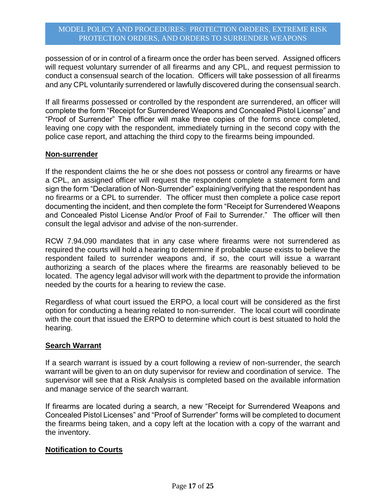possession of or in control of a firearm once the order has been served. Assigned officers will request voluntary surrender of all firearms and any CPL, and request permission to conduct a consensual search of the location. Officers will take possession of all firearms and any CPL voluntarily surrendered or lawfully discovered during the consensual search.

If all firearms possessed or controlled by the respondent are surrendered, an officer will complete the form "Receipt for Surrendered Weapons and Concealed Pistol License" and "Proof of Surrender" The officer will make three copies of the forms once completed, leaving one copy with the respondent, immediately turning in the second copy with the police case report, and attaching the third copy to the firearms being impounded.

#### **Non-surrender**

If the respondent claims the he or she does not possess or control any firearms or have a CPL, an assigned officer will request the respondent complete a statement form and sign the form "Declaration of Non-Surrender" explaining/verifying that the respondent has no firearms or a CPL to surrender. The officer must then complete a police case report documenting the incident, and then complete the form "Receipt for Surrendered Weapons and Concealed Pistol License And/or Proof of Fail to Surrender." The officer will then consult the legal advisor and advise of the non-surrender.

RCW 7.94.090 mandates that in any case where firearms were not surrendered as required the courts will hold a hearing to determine if probable cause exists to believe the respondent failed to surrender weapons and, if so, the court will issue a warrant authorizing a search of the places where the firearms are reasonably believed to be located. The agency legal advisor will work with the department to provide the information needed by the courts for a hearing to review the case.

Regardless of what court issued the ERPO, a local court will be considered as the first option for conducting a hearing related to non-surrender. The local court will coordinate with the court that issued the ERPO to determine which court is best situated to hold the hearing.

#### **Search Warrant**

If a search warrant is issued by a court following a review of non-surrender, the search warrant will be given to an on duty supervisor for review and coordination of service. The supervisor will see that a Risk Analysis is completed based on the available information and manage service of the search warrant.

If firearms are located during a search, a new "Receipt for Surrendered Weapons and Concealed Pistol Licenses" and "Proof of Surrender" forms will be completed to document the firearms being taken, and a copy left at the location with a copy of the warrant and the inventory.

#### **Notification to Courts**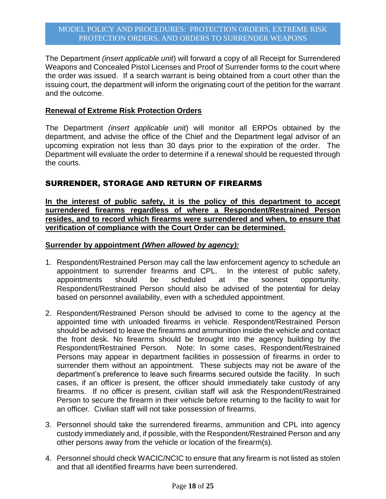The Department *(insert applicable unit*) will forward a copy of all Receipt for Surrendered Weapons and Concealed Pistol Licenses and Proof of Surrender forms to the court where the order was issued. If a search warrant is being obtained from a court other than the issuing court, the department will inform the originating court of the petition for the warrant and the outcome.

### **Renewal of Extreme Risk Protection Orders**

The Department *(insert applicable unit*) will monitor all ERPOs obtained by the department, and advise the office of the Chief and the Department legal advisor of an upcoming expiration not less than 30 days prior to the expiration of the order. The Department will evaluate the order to determine if a renewal should be requested through the courts.

# SURRENDER, STORAGE AND RETURN OF FIREARMS

**In the interest of public safety, it is the policy of this department to accept surrendered firearms regardless of where a Respondent/Restrained Person resides, and to record which firearms were surrendered and when, to ensure that verification of compliance with the Court Order can be determined.**

## **Surrender by appointment** *(When allowed by agency):*

- 1. Respondent/Restrained Person may call the law enforcement agency to schedule an appointment to surrender firearms and CPL. In the interest of public safety, appointments should be scheduled at the soonest opportunity. Respondent/Restrained Person should also be advised of the potential for delay based on personnel availability, even with a scheduled appointment.
- 2. Respondent/Restrained Person should be advised to come to the agency at the appointed time with unloaded firearms in vehicle. Respondent/Restrained Person should be advised to leave the firearms and ammunition inside the vehicle and contact the front desk. No firearms should be brought into the agency building by the Respondent/Restrained Person. Note: In some cases, Respondent/Restrained Persons may appear in department facilities in possession of firearms in order to surrender them without an appointment. These subjects may not be aware of the department's preference to leave such firearms secured outside the facility. In such cases, if an officer is present, the officer should immediately take custody of any firearms. If no officer is present, civilian staff will ask the Respondent/Restrained Person to secure the firearm in their vehicle before returning to the facility to wait for an officer. Civilian staff will not take possession of firearms.
- 3. Personnel should take the surrendered firearms, ammunition and CPL into agency custody immediately and, if possible, with the Respondent/Restrained Person and any other persons away from the vehicle or location of the firearm(s).
- 4. Personnel should check WACIC/NCIC to ensure that any firearm is not listed as stolen and that all identified firearms have been surrendered.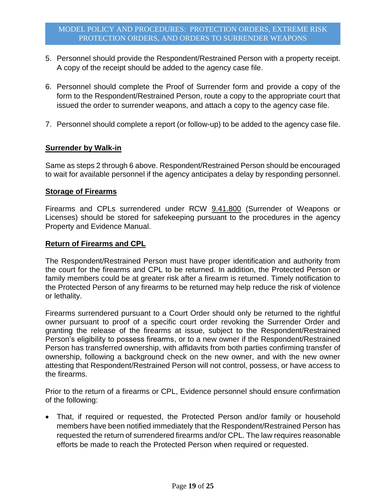- 5. Personnel should provide the Respondent/Restrained Person with a property receipt. A copy of the receipt should be added to the agency case file.
- 6. Personnel should complete the Proof of Surrender form and provide a copy of the form to the Respondent/Restrained Person, route a copy to the appropriate court that issued the order to surrender weapons, and attach a copy to the agency case file.
- 7. Personnel should complete a report (or follow-up) to be added to the agency case file.

#### **Surrender by Walk-in**

Same as steps 2 through 6 above. Respondent/Restrained Person should be encouraged to wait for available personnel if the agency anticipates a delay by responding personnel.

#### **Storage of Firearms**

Firearms and CPLs surrendered under RCW 9.41.800 (Surrender of Weapons or Licenses) should be stored for safekeeping pursuant to the procedures in the agency Property and Evidence Manual.

#### **Return of Firearms and CPL**

The Respondent/Restrained Person must have proper identification and authority from the court for the firearms and CPL to be returned. In addition, the Protected Person or family members could be at greater risk after a firearm is returned. Timely notification to the Protected Person of any firearms to be returned may help reduce the risk of violence or lethality.

Firearms surrendered pursuant to a Court Order should only be returned to the rightful owner pursuant to proof of a specific court order revoking the Surrender Order and granting the release of the firearms at issue, subject to the Respondent/Restrained Person's eligibility to possess firearms, or to a new owner if the Respondent/Restrained Person has transferred ownership, with affidavits from both parties confirming transfer of ownership, following a background check on the new owner, and with the new owner attesting that Respondent/Restrained Person will not control, possess, or have access to the firearms.

Prior to the return of a firearms or CPL, Evidence personnel should ensure confirmation of the following:

 That, if required or requested, the Protected Person and/or family or household members have been notified immediately that the Respondent/Restrained Person has requested the return of surrendered firearms and/or CPL. The law requires reasonable efforts be made to reach the Protected Person when required or requested.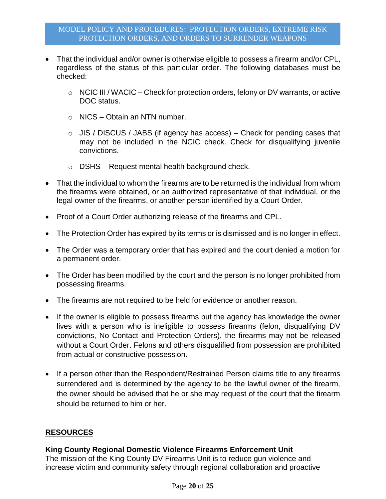- That the individual and/or owner is otherwise eligible to possess a firearm and/or CPL, regardless of the status of this particular order. The following databases must be checked:
	- o NCIC III / WACIC Check for protection orders, felony or DV warrants, or active DOC status.
	- o NICS Obtain an NTN number.
	- $\circ$  JIS / DISCUS / JABS (if agency has access) Check for pending cases that may not be included in the NCIC check. Check for disqualifying juvenile convictions.
	- $\circ$  DSHS Request mental health background check.
- That the individual to whom the firearms are to be returned is the individual from whom the firearms were obtained, or an authorized representative of that individual, or the legal owner of the firearms, or another person identified by a Court Order.
- Proof of a Court Order authorizing release of the firearms and CPL.
- The Protection Order has expired by its terms or is dismissed and is no longer in effect.
- The Order was a temporary order that has expired and the court denied a motion for a permanent order.
- The Order has been modified by the court and the person is no longer prohibited from possessing firearms.
- The firearms are not required to be held for evidence or another reason.
- If the owner is eligible to possess firearms but the agency has knowledge the owner lives with a person who is ineligible to possess firearms (felon, disqualifying DV convictions, No Contact and Protection Orders), the firearms may not be released without a Court Order. Felons and others disqualified from possession are prohibited from actual or constructive possession.
- If a person other than the Respondent/Restrained Person claims title to any firearms surrendered and is determined by the agency to be the lawful owner of the firearm, the owner should be advised that he or she may request of the court that the firearm should be returned to him or her.

# **RESOURCES**

# **King County Regional Domestic Violence Firearms Enforcement Unit**

The mission of the King County DV Firearms Unit is to reduce gun violence and increase victim and community safety through regional collaboration and proactive